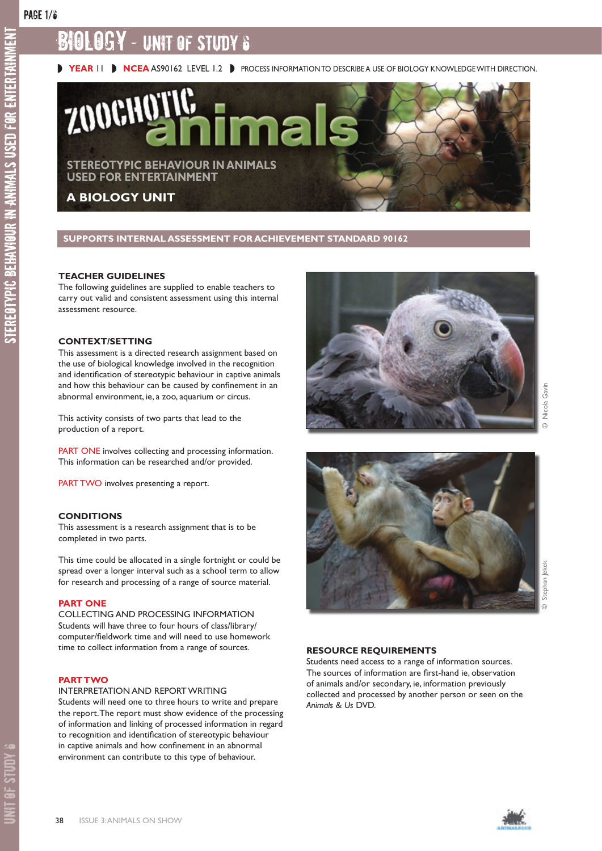stereotypic behaviour in animals used for entertainment

STEREOTYPIC BEHAVIOUR IN ANIMALS USED FOR ENTERTAINMENT

# BIOLOGY - UNIT OF STUDY 6



**SUPPORTS INTERNAL ASSESSMENT FOR ACHIEVEMENT STANDARD 90162** 

#### **TEACHER GUIDELINES**

The following guidelines are supplied to enable teachers to carry out valid and consistent assessment using this internal assessment resource.

#### **CONTEXT/SETTING**

This assessment is a directed research assignment based on the use of biological knowledge involved in the recognition and identification of stereotypic behaviour in captive animals and how this behaviour can be caused by confinement in an abnormal environment, ie, a zoo, aquarium or circus.

This activity consists of two parts that lead to the production of a report.

PART ONE involves collecting and processing information. This information can be researched and/or provided.

PART TWO involves presenting a report.

#### **CONDITIONS**

This assessment is a research assignment that is to be completed in two parts.

This time could be allocated in a single fortnight or could be spread over a longer interval such as a school term to allow for research and processing of a range of source material.

#### **PART ONE**

COLLECTING AND PROCESSING INFORMATION Students will have three to four hours of class/library/ computer/fieldwork time and will need to use homework time to collect information from a range of sources.

#### **PART TWO**

INTERPRETATION AND REPORT WRITING

Students will need one to three hours to write and prepare the report. The report must show evidence of the processing of information and linking of processed information in regard to recognition and identification of stereotypic behaviour in captive animals and how confinement in an abnormal environment can contribute to this type of behaviour.







#### **RESOURCE REQUIREMENTS**

Students need access to a range of information sources. The sources of information are first-hand ie, observation of animals and/or secondary, ie, information previously collected and processed by another person or seen on the *Animals & Us* DVD.

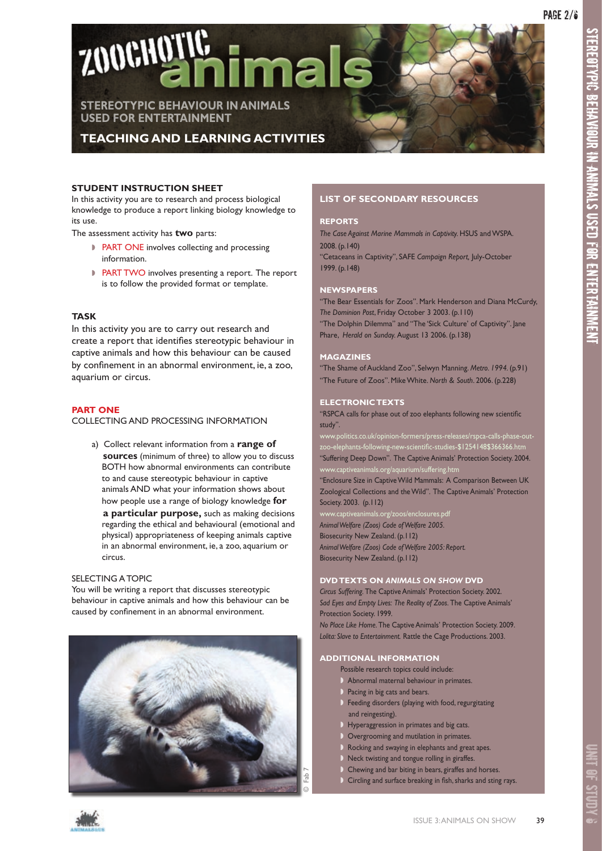stereotypic behaviour in animals used for entertainment

EOTYPIC BEHAVIOUR IN ANIMALS USED FOR ENTERTAINMENT

**STER** 



**TEACHING AND LEARNING ACTIVITIES**

### **STUDENT INSTRUCTION SHEET**

In this activity you are to research and process biological knowledge to produce a report linking biology knowledge to its use.

The assessment activity has **two** parts:

- ◗ PART ONE involves collecting and processing information.
- ◗ PART TWO involves presenting a report. The report is to follow the provided format or template.

#### **TASK**

In this activity you are to carry out research and create a report that identifies stereotypic behaviour in captive animals and how this behaviour can be caused by confinement in an abnormal environment, ie, a zoo, aquarium or circus.

#### **PART ONE**

COLLECTING AND PROCESSING INFORMATION

a) Collect relevant information from a **range of sources** (minimum of three) to allow you to discuss BOTH how abnormal environments can contribute to and cause stereotypic behaviour in captive animals AND what your information shows about how people use a range of biology knowledge **for a particular purpose,** such as making decisions regarding the ethical and behavioural (emotional and physical) appropriateness of keeping animals captive in an abnormal environment, ie, a zoo, aquarium or circus.

#### SELECTING A TOPIC

You will be writing a report that discusses stereotypic behaviour in captive animals and how this behaviour can be caused by confinement in an abnormal environment.



# **LIST OF SECONDARY RESOURCES**

#### **REPORTS**

*The Case Against Marine Mammals in Captivity.* HSUS and WSPA. 2008. (p.140)

"Cetaceans in Captivity", SAFE *Campaign Report,* July-October 1999. (p.148)

#### **NEWSPAPERS**

"The Bear Essentials for Zoos". Mark Henderson and Diana McCurdy, *The Dominion Post*, Friday October 3 2003. (p.110) "The Dolphin Dilemma" and "The 'Sick Culture' of Captivity". Jane

Phare, *Herald on Sunday.* August 13 2006. (p.138)

#### **MAGAZINES**

"The Shame of Auckland Zoo", Selwyn Manning. *Metro. 1994.* (p.91) "The Future of Zoos". Mike White. *North & South*. 2006. (p.228)

#### **ELECTRONIC TEXTS**

"RSPCA calls for phase out of zoo elephants following new scientific study".

zoo-elephants-following-new-scientific-studies-\$1254148\$366366.htm "Suffering Deep Down". The Captive Animals' Protection Society. 2004. w.captiveanimals.org/aquarium/suffering.ht $\,$ 

"Enclosure Size in Captive Wild Mammals: A Comparison Between UK Zoological Collections and the Wild". The Captive Animals' Protection Society. 2003. (p.112)

www.captiveanimals.org/zoos/enclosures.pdf *Animal Welfare (Zoos) Code of Welfare 2005.*  Biosecurity New Zealand. (p.112) *Animal Welfare (Zoos) Code of Welfare 2005: Report.*  Biosecurity New Zealand. (p.112)

#### **DVD TEXTS ON** *ANIMALS ON SHOW* **DVD**

*Circus Suffering.* The Captive Animals' Protection Society. 2002. *Sad Eyes and Empty Lives: The Reality of Zoos.* The Captive Animals' Protection Society. 1999.

*No Place Like Home.* The Captive Animals' Protection Society. 2009. *Lolita: Slave to Entertainment.* Rattle the Cage Productions. 2003.

# **ADDITIONAL INFORMATION**

- Possible research topics could include:
- ◗ Abnormal maternal behaviour in primates.
- Pacing in big cats and bears.
- ◗ Feeding disorders (playing with food, regurgitating and reingesting).
- **b** Hyperaggression in primates and big cats.
- **D** Overgrooming and mutilation in primates.
- ◗ Rocking and swaying in elephants and great apes.
- ◗ Neck twisting and tongue rolling in giraffes.
- ◗ Chewing and bar biting in bears, giraffes and horses.
- ◗ Circling and surface breaking in fish, sharks and sting rays.

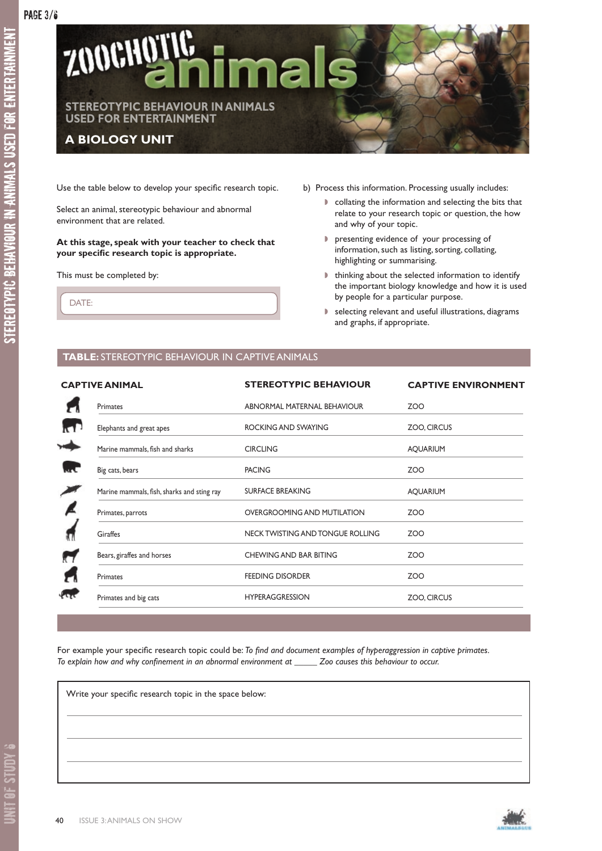

Use the table below to develop your specific research topic.

Select an animal, stereotypic behaviour and abnormal environment that are related.

**At this stage, speak with your teacher to check that your specific research topic is appropriate.**

This must be completed by:

- b) Process this information. Processing usually includes:
	- ◗ collating the information and selecting the bits that relate to your research topic or question, the how and why of your topic.
	- ◗ presenting evidence of your processing of information, such as listing, sorting, collating, highlighting or summarising.
	- ◗ thinking about the selected information to identify the important biology knowledge and how it is used by people for a particular purpose.
	- ◗ selecting relevant and useful illustrations, diagrams and graphs, if appropriate.

DATE:

# **TABLE:** STEREOTYPIC BEHAVIOUR IN CAPTIVE ANIMALS

| <b>CAPTIVE ANIMAL</b>                      | <b>STEREOTYPIC BEHAVIOUR</b>     | <b>CAPTIVE ENVIRONMENT</b> |
|--------------------------------------------|----------------------------------|----------------------------|
| Primates                                   | ABNORMAL MATERNAL BEHAVIOUR      | ZOO                        |
| Elephants and great apes                   | ROCKING AND SWAYING              | ZOO, CIRCUS                |
| Marine mammals, fish and sharks            | <b>CIRCLING</b>                  | <b>AQUARIUM</b>            |
| Big cats, bears                            | <b>PACING</b>                    | ZOO                        |
| Marine mammals, fish, sharks and sting ray | <b>SURFACE BREAKING</b>          | <b>AQUARIUM</b>            |
| Primates, parrots                          | OVERGROOMING AND MUTILATION      | ZOO                        |
| Giraffes                                   | NECK TWISTING AND TONGUE ROLLING | <b>ZOO</b>                 |
| Bears, giraffes and horses                 | CHEWING AND BAR BITING           | <b>ZOO</b>                 |
| <b>Primates</b>                            | <b>FEEDING DISORDER</b>          | ZOO                        |
| Primates and big cats                      | <b>HYPERAGGRESSION</b>           | ZOO, CIRCUS                |
|                                            |                                  |                            |

For example your specific research topic could be: *To find and document examples of hyperaggression in captive primates. To explain how and why confinement in an abnormal environment at \_\_\_\_\_ Zoo causes this behaviour to occur.* 

Write your specific research topic in the space below:

UNIT OF STUDY 6

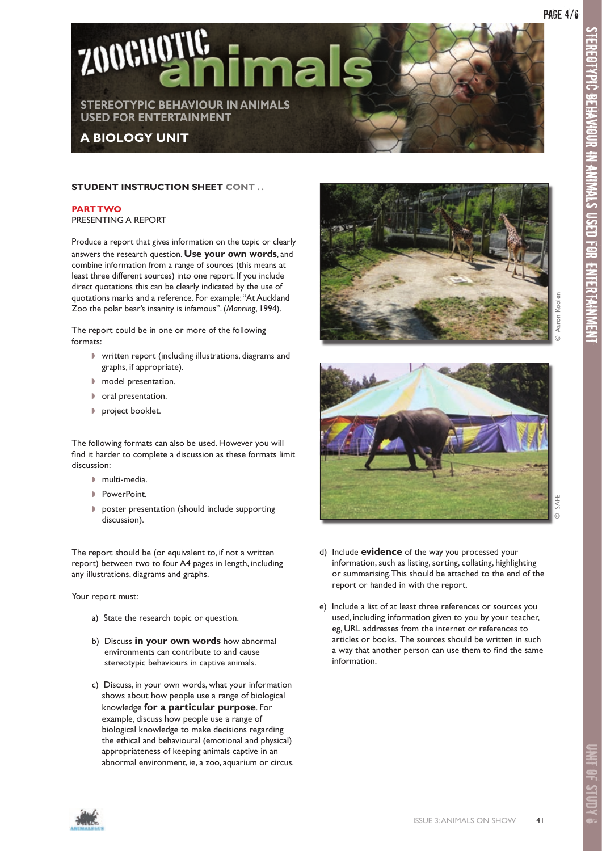

# **STUDENT INSTRUCTION SHEET CONT . .**

**PART TWO** PRESENTING A REPORT

Produce a report that gives information on the topic or clearly answers the research question. **Use your own words**, and combine information from a range of sources (this means at least three different sources) into one report. If you include direct quotations this can be clearly indicated by the use of quotations marks and a reference. For example: "At Auckland Zoo the polar bear's insanity is infamous". (*Manning*, 1994).

The report could be in one or more of the following formats:

- ◗ written report (including illustrations, diagrams and graphs, if appropriate).
- ◗ model presentation.
- ◗ oral presentation.
- ◗ project booklet.

The following formats can also be used. However you will find it harder to complete a discussion as these formats limit discussion:

- ◗ multi-media.
- ◗ PowerPoint.
- ◗ poster presentation (should include supporting discussion).

The report should be (or equivalent to, if not a written report) between two to four A4 pages in length, including any illustrations, diagrams and graphs.

Your report must:

- a) State the research topic or question.
- b) Discuss **in your own words** how abnormal environments can contribute to and cause stereotypic behaviours in captive animals.
- c) Discuss, in your own words, what your information shows about how people use a range of biological knowledge **for a particular purpose**. For example, discuss how people use a range of biological knowledge to make decisions regarding the ethical and behavioural (emotional and physical) appropriateness of keeping animals captive in an abnormal environment, ie, a zoo, aquarium or circus.





- d) Include **evidence** of the way you processed your information, such as listing, sorting, collating, highlighting or summarising. This should be attached to the end of the report or handed in with the report.
- e) Include a list of at least three references or sources you used, including information given to you by your teacher, eg, URL addresses from the internet or references to articles or books. The sources should be written in such a way that another person can use them to find the same information.

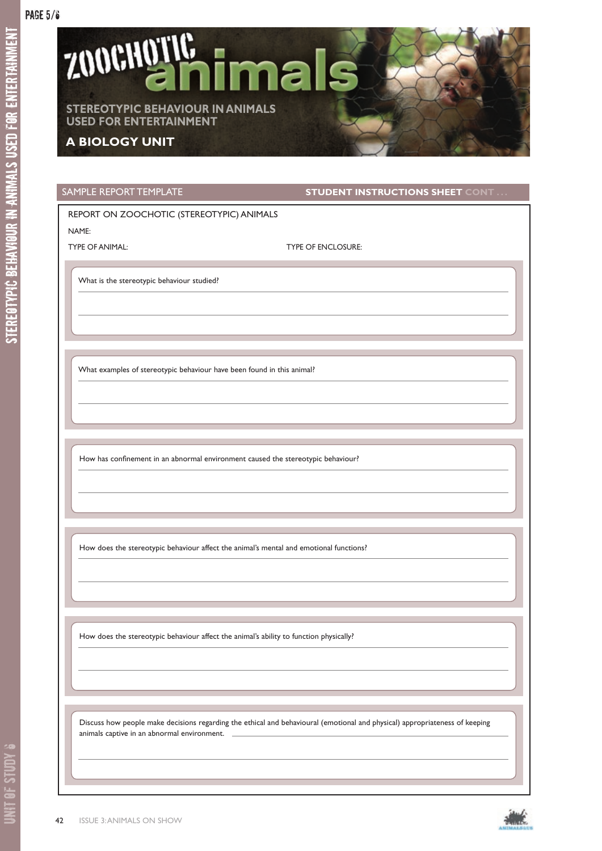

SAMPLE REPORT TEMPLATE **STUDENT INSTRUCTIONS SHEET** CONT

# REPORT ON ZOOCHOTIC (STEREOTYPIC) ANIMALS

NAME:

TYPE OF ANIMAL: TYPE OF ENCLOSURE:

What is the stereotypic behaviour studied?

What examples of stereotypic behaviour have been found in this animal?

How has confinement in an abnormal environment caused the stereotypic behaviour?

How does the stereotypic behaviour affect the animal's mental and emotional functions?

How does the stereotypic behaviour affect the animal's ability to function physically?

 Discuss how people make decisions regarding the ethical and behavioural (emotional and physical) appropriateness of keeping animals captive in an abnormal environment.